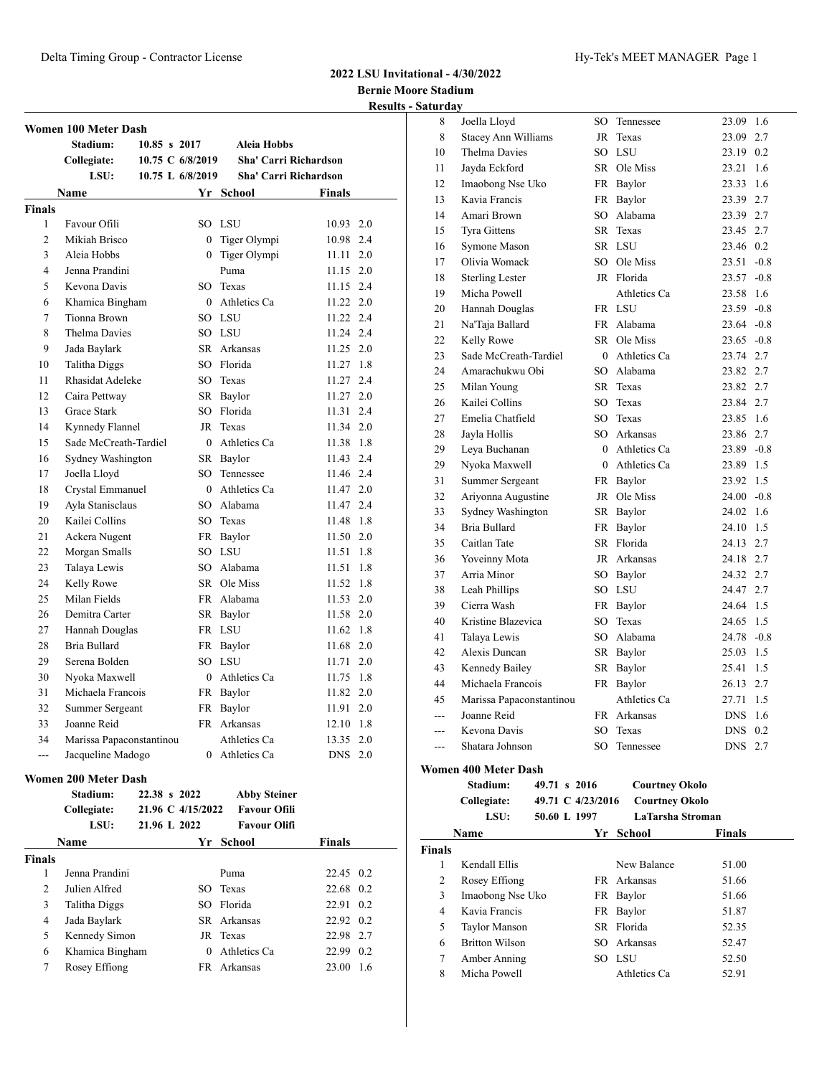# **2022 LSU Invitational - 4/30/2022**

**Bernie Moore Stadium Results - Saturday**

|                | Women 100 Meter Dash        |                   |                     |                              |     |
|----------------|-----------------------------|-------------------|---------------------|------------------------------|-----|
|                | Stadium:                    | 10.85 s 2017      | Aleia Hobbs         |                              |     |
|                | Collegiate:                 | 10.75 C 6/8/2019  |                     | Sha' Carri Richardson        |     |
|                | LSU:                        | 10.75 L 6/8/2019  |                     | <b>Sha' Carri Richardson</b> |     |
|                | <b>Name</b>                 |                   | Yr School           | Finals                       |     |
| <b>Finals</b>  |                             |                   |                     |                              |     |
| 1              | Favour Ofili                |                   | SO LSU              | 10.93 2.0                    |     |
| 2              | Mikiah Brisco               |                   | 0 Tiger Olympi      | 10.98                        | 2.4 |
| 3              | Aleia Hobbs                 |                   | 0 Tiger Olympi      | 11.11                        | 2.0 |
| 4              | Jenna Prandini              |                   | Puma                | 11.15                        | 2.0 |
| 5              | Kevona Davis                |                   | SO Texas            | 11.15                        | 2.4 |
| 6              |                             |                   | 0 Athletics Ca      | 11.22 2.0                    |     |
| 7              | Khamica Bingham             |                   | SO LSU              | 11.22 2.4                    |     |
|                | Tionna Brown                |                   |                     |                              |     |
| 8              | Thelma Davies               |                   | SO LSU              | 11.24 2.4                    |     |
| 9              | Jada Baylark                |                   | SR Arkansas         | 11.25 2.0                    |     |
| 10             | Talitha Diggs               |                   | SO Florida          | 11.27 1.8                    |     |
| 11             | Rhasidat Adeleke            |                   | SO Texas            | 11.27                        | 2.4 |
| 12             | Caira Pettway               |                   | SR Baylor           | 11.27 2.0                    |     |
| 13             | Grace Stark                 |                   | SO Florida          | 11.31 2.4                    |     |
| 14             | Kynnedy Flannel             | JR                | Texas               | 11.34 2.0                    |     |
| 15             | Sade McCreath-Tardiel       |                   | 0 Athletics Ca      | 11.38 1.8                    |     |
| 16             | Sydney Washington           |                   | SR Baylor           | 11.43 2.4                    |     |
| 17             | Joella Lloyd                |                   | SO Tennessee        | 11.46 2.4                    |     |
| 18             | Crystal Emmanuel            |                   | $0$ Athletics Ca    | 11.47 2.0                    |     |
| 19             | Ayla Stanisclaus            |                   | SO Alabama          | 11.47 2.4                    |     |
| 20             | Kailei Collins              |                   | SO Texas            | 11.48                        | 1.8 |
| 21             | Ackera Nugent               |                   | FR Baylor           | 11.50 2.0                    |     |
| 22             | Morgan Smalls               |                   | SO LSU              | 11.51                        | 1.8 |
| 23             | Talaya Lewis                |                   | SO Alabama          | 11.51                        | 1.8 |
| 24             | Kelly Rowe                  |                   | SR Ole Miss         | 11.52                        | 1.8 |
| 25             | Milan Fields                |                   | FR Alabama          | 11.53                        | 2.0 |
| 26             | Demitra Carter              |                   | SR Baylor           | 11.58                        | 2.0 |
| 27             | Hannah Douglas              |                   | FR LSU              | 11.62                        | 1.8 |
| 28             | Bria Bullard                |                   | FR Baylor           | 11.68                        | 2.0 |
| 29             | Serena Bolden               |                   | SO LSU              | 11.71                        | 2.0 |
| 30             | Nyoka Maxwell               |                   | 0 Athletics Ca      | 11.75                        | 1.8 |
| 31             | Michaela Francois           | FR                | Baylor              | 11.82                        | 2.0 |
| 32             | Summer Sergeant             | FR                | Baylor              | $11.91 \quad 2.0$            |     |
| 33             | Joanne Reid                 |                   | FR Arkansas         | 12.10                        | 1.8 |
| 34             | Marissa Papaconstantinou    |                   | Athletics Ca        | 13.35                        | 2.0 |
| $\overline{a}$ | Jacqueline Madogo           |                   | 0 Athletics Ca      | DNS 2.0                      |     |
|                |                             |                   |                     |                              |     |
|                | <b>Women 200 Meter Dash</b> |                   |                     |                              |     |
|                | Stadium:                    | 22.38 s 2022      | <b>Abby Steiner</b> |                              |     |
|                | Collegiate:                 | 21.96 C 4/15/2022 | <b>Favour Ofili</b> |                              |     |
|                | LSU:                        | 21.96 L 2022      | <b>Favour Olifi</b> |                              |     |
|                | Name                        |                   | Yr School           | <b>Finals</b>                |     |
| <b>Finals</b>  |                             |                   |                     |                              |     |
| 1              | Jenna Prandini              |                   | Puma                | 22.45 0.2                    |     |
| 2              | Julien Alfred               |                   | SO Texas            | 22.68 0.2                    |     |
| 3              | Talitha Diggs               |                   | SO Florida          | 22.91                        | 0.2 |
| 4              | Jada Baylark                |                   | SR Arkansas         | 22.92 0.2                    |     |

 Kennedy Simon JR Texas 22.98 2.7 Khamica Bingham 0 Athletics Ca 22.99 0.2 Rosey Effiong FR Arkansas 23.00 1.6

| aturuay |                             |        |                  |               |        |
|---------|-----------------------------|--------|------------------|---------------|--------|
| 8       | Joella Lloyd                | SO     | Tennessee        | 23.09         | 1.6    |
| 8       | <b>Stacey Ann Williams</b>  | JR     | Texas            | 23.09         | 2.7    |
| 10      | Thelma Davies               |        | SO LSU           | 23.19 0.2     |        |
| 11      | Javda Eckford               |        | SR Ole Miss      | 23.21         | 1.6    |
| 12      | Imaobong Nse Uko            |        | FR Baylor        | 23.33         | 1.6    |
| 13      | Kavia Francis               |        | FR Baylor        | 23.39 2.7     |        |
| 14      | Amari Brown                 |        | SO Alabama       | 23.39 2.7     |        |
| 15      | <b>Tyra Gittens</b>         |        | SR Texas         | 23.45         | 2.7    |
| 16      | Symone Mason                |        | SR LSU           | 23.46         | 0.2    |
| 17      | Olivia Womack               |        | SO Ole Miss      | 23.51         | $-0.8$ |
| 18      | <b>Sterling Lester</b>      |        | JR Florida       | $23.57 -0.8$  |        |
| 19      | Micha Powell                |        | Athletics Ca     | 23.58         | 1.6    |
| 20      | Hannah Douglas              |        | FR LSU           | $23.59 -0.8$  |        |
| 21      | Na'Taja Ballard             |        | FR Alabama       | $23.64 -0.8$  |        |
| 22      | Kelly Rowe                  |        | SR Ole Miss      | $23.65 -0.8$  |        |
| 23      | Sade McCreath-Tardiel       |        | $0$ Athletics Ca | 23.74 2.7     |        |
| 24      | Amarachukwu Obi             |        | SO Alabama       | 23.82         | 2.7    |
| 25      | Milan Young                 |        | SR Texas         | 23.82         | 2.7    |
| 26      | Kailei Collins              |        | SO Texas         | 23.84 2.7     |        |
| 27      | Emelia Chatfield            |        | SO Texas         | 23.85 1.6     |        |
| 28      | Jayla Hollis                |        | SO Arkansas      | 23.86 2.7     |        |
| 29      | Leya Buchanan               |        | 0 Athletics Ca   | $23.89 - 0.8$ |        |
| 29      | Nyoka Maxwell               |        | 0 Athletics Ca   | 23.89 1.5     |        |
| 31      | <b>Summer Sergeant</b>      |        | FR Baylor        | 23.92         | 1.5    |
| 32      | Ariyonna Augustine          |        | JR Ole Miss      | $24.00 -0.8$  |        |
| 33      | Sydney Washington           |        | SR Baylor        | 24.02         | 1.6    |
| 34      | Bria Bullard                |        | FR Baylor        | 24.10 1.5     |        |
| 35      | Caitlan Tate                |        | SR Florida       | 24.13 2.7     |        |
| 36      | Yoveinny Mota               |        | JR Arkansas      | 24.18 2.7     |        |
| 37      | Arria Minor                 |        | SO Baylor        | 24.32 2.7     |        |
| 38      | Leah Phillips               |        | SO LSU           | 24.47 2.7     |        |
| 39      | Cierra Wash                 |        | FR Baylor        | 24.64 1.5     |        |
| 40      | Kristine Blazevica          | $SO^-$ | Texas            | 24.65         | 1.5    |
| 41      | Talaya Lewis                |        | SO Alabama       | 24.78         | $-0.8$ |
| 42      | Alexis Duncan               |        | SR Baylor        | 25.03         | 1.5    |
| 43      | Kennedy Bailey              |        | SR Baylor        | 25.41         | 1.5    |
| 44      | Michaela Francois           | FR     | Baylor           | 26.13 2.7     |        |
| 45      | Marissa Papaconstantinou    |        | Athletics Ca     | 27.71         | 1.5    |
| ---     | Joanne Reid                 |        | FR Arkansas      | <b>DNS</b>    | 1.6    |
| $---$   | Kevona Davis                | SO     | Texas            | <b>DNS</b>    | 0.2    |
| ---     | Shatara Johnson             | SO     | Tennessee        | <b>DNS</b>    | 2.7    |
|         | <b>Women 400 Meter Dash</b> |        |                  |               |        |

| Stadium:    | 49.71 s 2016      | <b>Courtney Okolo</b> |
|-------------|-------------------|-----------------------|
| Collegiate: | 49.71 C 4/23/2016 | <b>Courtney Okolo</b> |
| I CIL.      | 50 KQ T<br>-1007  | LoTorcho Ctrom        |

| LSU: | 50.60 L 1997 | LaTarsha Stroman |               |  |
|------|--------------|------------------|---------------|--|
| Name |              | Yr School        | <b>Finals</b> |  |
|      |              |                  |               |  |

| <b>Finals</b> |                       |              |       |
|---------------|-----------------------|--------------|-------|
|               | Kendall Ellis         | New Balance  | 51.00 |
| 2             | Rosey Effiong         | FR Arkansas  | 51.66 |
| 3             | Imaobong Nse Uko      | FR Baylor    | 51.66 |
| 4             | Kavia Francis         | FR Baylor    | 51.87 |
| 5             | <b>Taylor Manson</b>  | SR Florida   | 52.35 |
| 6             | <b>Britton Wilson</b> | SO Arkansas  | 52.47 |
| 7             | Amber Anning          | SO LSU       | 52.50 |
| 8             | Micha Powell          | Athletics Ca | 52.91 |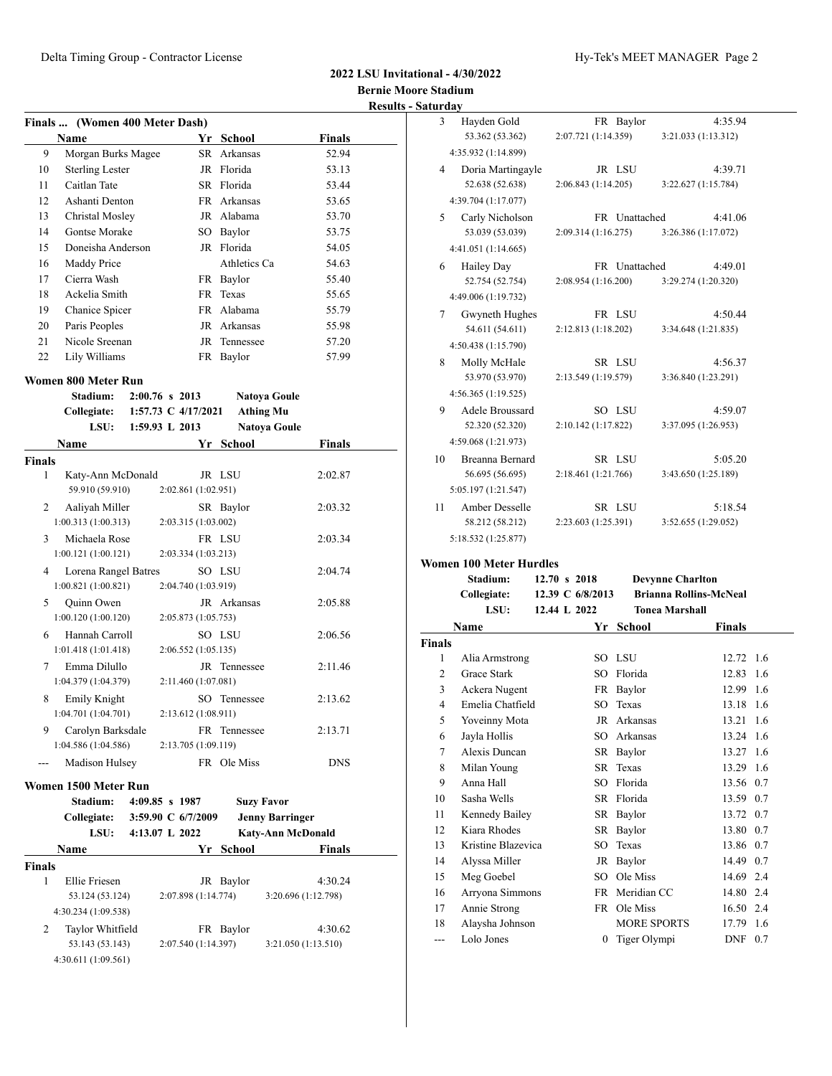### **2022 LSU Invitational - 4/30/2022 Bernie Moore Stadium Results - Saturday**

|               | Finals  (Women 400 Meter Dash)       |                       |                   |                          |  |
|---------------|--------------------------------------|-----------------------|-------------------|--------------------------|--|
|               | <b>Name</b>                          | Yr                    | School            | <b>Finals</b>            |  |
| 9             | Morgan Burks Magee                   |                       | SR Arkansas       | 52.94                    |  |
| 10            | <b>Sterling Lester</b>               |                       | JR Florida        | 53.13                    |  |
| 11            | Caitlan Tate                         |                       | SR Florida        | 53.44                    |  |
| 12            | Ashanti Denton                       |                       | FR Arkansas       | 53.65                    |  |
| 13            | Christal Mosley                      |                       | JR Alabama        | 53.70                    |  |
| 14            | Gontse Morake                        |                       | SO Baylor         | 53.75                    |  |
| 15            | Doneisha Anderson                    |                       | JR Florida        | 54.05                    |  |
| 16            | Maddy Price                          |                       | Athletics Ca      | 54.63                    |  |
| 17            | Cierra Wash                          |                       | FR Baylor         | 55.40                    |  |
| 18            | Ackelia Smith                        |                       | FR Texas          | 55.65                    |  |
| 19            | Chanice Spicer                       |                       | FR Alabama        | 55.79                    |  |
| 20            | Paris Peoples                        |                       | JR Arkansas       | 55.98                    |  |
| 21            | Nicole Sreenan                       |                       | JR Tennessee      | 57.20                    |  |
| 22            | Lily Williams                        |                       | FR Baylor         | 57.99                    |  |
|               | Women 800 Meter Run                  |                       |                   |                          |  |
|               | Stadium:                             | $2:00.76$ s 2013      |                   | <b>Natoya Goule</b>      |  |
|               | Collegiate:                          | 1:57.73 C $4/17/2021$ | <b>Athing Mu</b>  |                          |  |
|               | LSU:                                 | 1:59.93 L 2013        |                   | <b>Natoya Goule</b>      |  |
|               | Name                                 | Yr                    | <b>School</b>     | <b>Finals</b>            |  |
| <b>Finals</b> |                                      |                       |                   |                          |  |
| 1             | Katy-Ann McDonald<br>59.910 (59.910) | 2:02.861 (1:02.951)   | JR LSU            | 2:02.87                  |  |
| 2             | Aaliyah Miller<br>1:00.313(1:00.313) | 2:03.315 (1:03.002)   | SR Baylor         | 2:03.32                  |  |
| 3             | Michaela Rose                        |                       | FR LSU            | 2:03.34                  |  |
|               | 1:00.121(1:00.121)                   | 2:03.334(1:03.213)    |                   |                          |  |
| 4             | Lorena Rangel Batres                 |                       | SO LSU            | 2:04.74                  |  |
|               | 1:00.821(1:00.821)                   | 2:04.740 (1:03.919)   |                   |                          |  |
| 5             | Quinn Owen                           |                       | JR Arkansas       | 2:05.88                  |  |
|               | 1:00.120(1:00.120)                   | 2:05.873 (1:05.753)   |                   |                          |  |
| 6             | Hannah Carroll<br>1:01.418(1:01.418) | 2:06.552 (1:05.135)   | SO LSU            | 2:06.56                  |  |
| 7             | Emma Dilullo                         |                       | JR Tennessee      | 2:11.46                  |  |
|               | 1:04.379 (1:04.379)                  | 2:11.460 (1:07.081)   |                   |                          |  |
| 8             | Emily Knight                         |                       | SO Tennessee      | 2:13.62                  |  |
|               | 1:04.701 (1:04.701)                  | 2:13.612 (1:08.911)   |                   |                          |  |
| 9             | Carolyn Barksdale                    |                       | FR Tennessee      | 2:13.71                  |  |
|               | 1:04.586 (1:04.586)                  | 2:13.705 (1:09.119)   |                   |                          |  |
|               | Madison Hulsey                       |                       | FR Ole Miss       | <b>DNS</b>               |  |
|               | Women 1500 Meter Run                 |                       |                   |                          |  |
|               | Stadium:                             | 4:09.85 s 1987        | <b>Suzy Favor</b> |                          |  |
|               | Collegiate:                          | 3:59.90 C 6/7/2009    |                   | <b>Jenny Barringer</b>   |  |
|               | LSU:                                 | 4:13.07 L 2022        |                   | <b>Katy-Ann McDonald</b> |  |
|               | Name                                 |                       | Yr School         | Finals                   |  |
| Finals        |                                      |                       |                   |                          |  |
| 1             | Ellie Friesen                        |                       | JR Baylor         | 4:30.24                  |  |
|               | 53.124 (53.124)                      | 2:07.898 (1:14.774)   |                   | 3:20.696 (1:12.798)      |  |
|               | 4:30.234 (1:09.538)                  |                       |                   |                          |  |
| 2             | Taylor Whitfield                     |                       | FR Baylor         | 4:30.62                  |  |
|               | 53.143 (53.143)                      | 2:07.540 (1:14.397)   |                   | 3:21.050 (1:13.510)      |  |
|               | 4:30.611 (1:09.561)                  |                       |                   |                          |  |

| 3  | Hayden Gold            |                     | FR Baylor     |                     | 4:35.94 |
|----|------------------------|---------------------|---------------|---------------------|---------|
|    | 53.362 (53.362)        | 2:07.721 (1:14.359) |               | 3:21.033 (1:13.312) |         |
|    | 4:35.932 (1:14.899)    |                     |               |                     |         |
| 4  | Doria Martingayle      |                     | JR LSU        |                     | 4:39.71 |
|    | 52.638 (52.638)        | 2:06.843 (1:14.205) |               | 3:22.627(1:15.784)  |         |
|    | 4:39.704 (1:17.077)    |                     |               |                     |         |
| 5  | Carly Nicholson        |                     | FR Unattached |                     | 4:41.06 |
|    | 53.039 (53.039)        | 2:09.314(1:16.275)  |               | 3:26.386 (1:17.072) |         |
|    | 4:41.051 (1:14.665)    |                     |               |                     |         |
| 6  | <b>Hailey Day</b>      |                     | FR Unattached |                     | 4:49.01 |
|    | 52.754 (52.754)        | 2:08.954 (1:16.200) |               | 3:29.274 (1:20.320) |         |
|    | 4:49.006 (1:19.732)    |                     |               |                     |         |
| 7  | Gwyneth Hughes         |                     | FR LSU        |                     | 4:50.44 |
|    | 54.611 (54.611)        | 2:12.813(1:18.202)  |               | 3:34.648 (1:21.835) |         |
|    | 4:50.438 (1:15.790)    |                     |               |                     |         |
| 8  | Molly McHale           |                     | SR LSU        |                     | 4:56.37 |
|    | 53.970 (53.970)        | 2:13.549 (1:19.579) |               | 3:36.840 (1:23.291) |         |
|    | 4:56.365 (1:19.525)    |                     |               |                     |         |
| 9  | Adele Broussard        |                     | SO LSU        |                     | 4:59.07 |
|    | 52.320 (52.320)        | 2:10.142 (1:17.822) |               | 3:37.095 (1:26.953) |         |
|    | 4:59.068 (1:21.973)    |                     |               |                     |         |
| 10 | <b>Breanna Bernard</b> |                     | SR LSU        |                     | 5:05.20 |
|    | 56.695 (56.695)        | 2:18.461 (1:21.766) |               | 3:43.650 (1:25.189) |         |
|    | 5:05.197 (1:21.547)    |                     |               |                     |         |
| 11 | Amber Desselle         |                     | SR LSU        |                     | 5:18.54 |
|    | 58.212 (58.212)        | 2:23.603 (1:25.391) |               | 3:52.655 (1:29.052) |         |
|    | 5:18.532 (1:25.877)    |                     |               |                     |         |
|    |                        |                     |               |                     |         |

### **Women 100 Meter Hurdles**

|                | Stadium:           | 12.70 s 2018     | <b>Devynne Charlton</b>       |           |     |
|----------------|--------------------|------------------|-------------------------------|-----------|-----|
|                | Collegiate:        | 12.39 C 6/8/2013 | <b>Brianna Rollins-McNeal</b> |           |     |
|                | LSU:               | 12.44 L 2022     | <b>Tonea Marshall</b>         |           |     |
|                | Name               | Yr               | <b>School</b>                 | Finals    |     |
| <b>Finals</b>  |                    |                  |                               |           |     |
| 1              | Alia Armstrong     | SO LSU           |                               | 12.72 1.6 |     |
| $\overline{c}$ | Grace Stark        | SO.              | Florida                       | 12.83     | 1.6 |
| 3              | Ackera Nugent      |                  | FR Baylor                     | 12.99     | 1.6 |
| 4              | Emelia Chatfield   | SO.              | Texas                         | 13.18     | 1.6 |
| 5              | Yoveinny Mota      | JR               | Arkansas                      | 13.21     | 1.6 |
| 6              | Jayla Hollis       | SO.              | Arkansas                      | 13.24     | 1.6 |
| 7              | Alexis Duncan      |                  | SR Baylor                     | 13.27 1.6 |     |
| 8              | Milan Young        |                  | SR Texas                      | 13.29 1.6 |     |
| 9              | Anna Hall          | SO.              | Florida                       | 13.56 0.7 |     |
| 10             | Sasha Wells        |                  | SR Florida                    | 13.59 0.7 |     |
| 11             | Kennedy Bailey     | SR               | Baylor                        | 13.72 0.7 |     |
| 12             | Kiara Rhodes       | SR               | Baylor                        | 13.80 0.7 |     |
| 13             | Kristine Blazevica | SO               | Texas                         | 13.86 0.7 |     |
| 14             | Alyssa Miller      | JR               | Baylor                        | 14.49 0.7 |     |
| 15             | Meg Goebel         | SO.              | Ole Miss                      | 14.69 2.4 |     |
| 16             | Arryona Simmons    |                  | FR Meridian CC                | 14.80 2.4 |     |
| 17             | Annie Strong       |                  | FR Ole Miss                   | 16.50 2.4 |     |
| 18             | Alaysha Johnson    |                  | <b>MORE SPORTS</b>            | 17.79     | 1.6 |
| $---$          | Lolo Jones         | 0                | Tiger Olympi                  | $DNF$ 0.7 |     |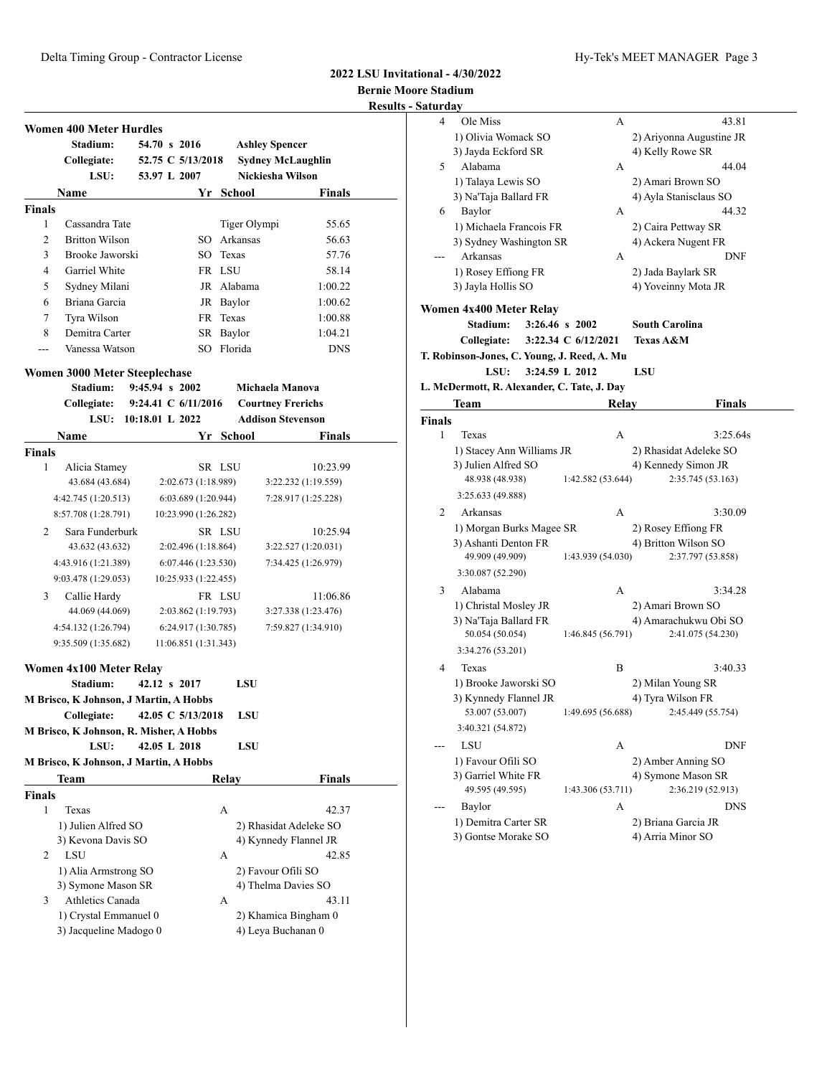## **2022 LSU Invitational - 4/30/2022**

**Bernie Moore Stadium F** Satu

|               |                                         |                   |                      |              |                          | <b>Results</b> |
|---------------|-----------------------------------------|-------------------|----------------------|--------------|--------------------------|----------------|
|               | <b>Women 400 Meter Hurdles</b>          |                   |                      |              |                          |                |
|               | Stadium:                                | 54.70 s 2016      |                      |              | <b>Ashley Spencer</b>    |                |
|               | Collegiate:                             |                   | 52.75 C 5/13/2018    |              | <b>Sydney McLaughlin</b> |                |
|               | LSU:                                    | 53.97 L 2007      |                      |              | Nickiesha Wilson         |                |
|               | Name                                    |                   |                      | Yr School    | Finals                   |                |
| <b>Finals</b> |                                         |                   |                      |              |                          |                |
| 1             | Cassandra Tate                          |                   |                      | Tiger Olympi | 55.65                    |                |
| 2             | <b>Britton Wilson</b>                   |                   |                      | SO Arkansas  | 56.63                    |                |
| 3             | Brooke Jaworski                         |                   | SO.                  | Texas        | 57.76                    |                |
| 4             | Garriel White                           |                   |                      | FR LSU       | 58.14                    |                |
| 5             | Sydney Milani                           |                   |                      | JR Alabama   | 1:00.22                  |                |
| 6             | Briana Garcia                           |                   |                      | JR Baylor    | 1:00.62                  |                |
| 7             | Tyra Wilson                             |                   |                      | FR Texas     | 1:00.88                  |                |
| 8             | Demitra Carter                          |                   |                      | SR Baylor    | 1:04.21                  |                |
| ---           | Vanessa Watson                          |                   | SO                   | Florida      | <b>DNS</b>               |                |
|               | Women 3000 Meter Steeplechase           |                   |                      |              |                          |                |
|               | Stadium:                                | $9:45.94$ s 2002  |                      |              | Michaela Manova          |                |
|               | Collegiate: 9:24.41 C 6/11/2016         |                   |                      |              | <b>Courtney Frerichs</b> |                |
|               | LSU:                                    | $10:18.01$ L 2022 |                      |              | <b>Addison Stevenson</b> |                |
|               |                                         |                   |                      |              |                          |                |
|               | Name                                    |                   |                      | Yr School    | Finals                   |                |
| <b>Finals</b> |                                         |                   |                      |              |                          |                |
| 1             | Alicia Stamey                           |                   |                      | SR LSU       | 10:23.99                 |                |
|               | 43.684 (43.684)                         |                   | 2:02.673 (1:18.989)  |              | 3:22.232 (1:19.559)      |                |
|               | 4:42.745 (1:20.513)                     |                   | 6:03.689(1:20.944)   |              | 7:28.917 (1:25.228)      |                |
|               | 8:57.708 (1:28.791)                     |                   | 10:23.990 (1:26.282) |              |                          |                |
| 2             | Sara Funderburk                         |                   |                      | SR LSU       | 10:25.94                 |                |
|               | 43.632 (43.632)                         |                   | 2:02.496 (1:18.864)  |              | 3:22.527 (1:20.031)      |                |
|               | 4:43.916 (1:21.389)                     |                   | 6:07.446(1:23.530)   |              | 7:34.425 (1:26.979)      |                |
|               | 9:03.478 (1:29.053)                     |                   | 10:25.933 (1:22.455) |              |                          |                |
| 3             | Callie Hardy                            |                   |                      | FR LSU       | 11:06.86                 |                |
|               | 44.069 (44.069)                         |                   | 2:03.862 (1:19.793)  |              | 3:27.338 (1:23.476)      |                |
|               | 4:54.132 (1:26.794)                     |                   | 6:24.917(1:30.785)   |              | 7:59.827 (1:34.910)      |                |
|               | 9:35.509 (1:35.682)                     |                   | 11:06.851 (1:31.343) |              |                          |                |
|               |                                         |                   |                      |              |                          |                |
|               | Women 4x100 Meter Relay                 |                   |                      |              |                          |                |
|               | Stadium:                                | 42.12 s 2017      |                      | LSU          |                          |                |
|               | M Brisco, K Johnson, J Martin, A Hobbs  |                   |                      |              |                          |                |
|               | Collegiate:                             |                   | 42.05 C 5/13/2018    | LSU          |                          |                |
|               | M Brisco, K Johnson, R. Misher, A Hobbs |                   |                      |              |                          |                |
|               | LSU:                                    | 42.05 L 2018      |                      | LSU          |                          |                |
|               | M Brisco, K Johnson, J Martin, A Hobbs  |                   |                      |              |                          |                |
|               | Team                                    |                   |                      | Relay        | Finals                   |                |
| <b>Finals</b> |                                         |                   |                      |              |                          |                |
| 1             | Texas                                   |                   |                      | А            | 42.37                    |                |
|               | 1) Julien Alfred SO                     |                   |                      |              | 2) Rhasidat Adeleke SO   |                |
|               | 3) Kevona Davis SO                      |                   |                      |              | 4) Kynnedy Flannel JR    |                |
| 2             | LSU                                     |                   |                      | А            | 42.85                    |                |
|               | 1) Alia Armstrong SO                    |                   |                      |              | 2) Favour Ofili SO       |                |
|               | 3) Symone Mason SR                      |                   |                      |              | 4) Thelma Davies SO      |                |
| 3             | Athletics Canada                        |                   |                      | А            | 43.11                    |                |
|               | 1) Crystal Emmanuel 0                   |                   |                      |              | 2) Khamica Bingham 0     |                |
|               | 3) Jacqueline Madogo 0                  |                   |                      |              | 4) Leya Buchanan 0       |                |

|               | Saturday                                    |                     |                                          |
|---------------|---------------------------------------------|---------------------|------------------------------------------|
| 4             | Ole Miss                                    | А                   | 43.81                                    |
|               | 1) Olivia Womack SO                         |                     | 2) Ariyonna Augustine JR                 |
|               | 3) Jayda Eckford SR                         |                     | 4) Kelly Rowe SR                         |
| 5             | Alabama                                     | А                   | 44.04                                    |
|               | 1) Talaya Lewis SO                          |                     | 2) Amari Brown SO                        |
|               | 3) Na'Taja Ballard FR                       |                     | 4) Ayla Stanisclaus SO                   |
| 6             | Baylor                                      | А                   | 44.32                                    |
|               | 1) Michaela Francois FR                     |                     | 2) Caira Pettway SR                      |
|               | 3) Sydney Washington SR                     |                     | 4) Ackera Nugent FR                      |
|               | Arkansas                                    | А                   | DNF                                      |
|               | 1) Rosey Effiong FR                         |                     | 2) Jada Baylark SR                       |
|               | 3) Jayla Hollis SO                          |                     | 4) Yoveinny Mota JR                      |
|               | Women 4x400 Meter Relay                     |                     |                                          |
|               | Stadium:                                    | 3:26.46 s 2002      | <b>South Carolina</b>                    |
|               | Collegiate:                                 | 3:22.34 C 6/12/2021 | <b>Texas A&amp;M</b>                     |
|               | T. Robinson-Jones, C. Young, J. Reed, A. Mu |                     |                                          |
|               | LSU:                                        | 3:24.59 L 2012      | <b>LSU</b>                               |
|               | L. McDermott, R. Alexander, C. Tate, J. Day |                     |                                          |
|               | Team                                        | Relay               | <b>Finals</b>                            |
| <b>Finals</b> |                                             |                     |                                          |
| 1             | Texas                                       | А                   | 3:25.64s                                 |
|               | 1) Stacey Ann Williams JR                   |                     |                                          |
|               | 3) Julien Alfred SO                         |                     | 2) Rhasidat Adeleke SO                   |
|               | 48.938 (48.938)                             | 1:42.582 (53.644)   | 4) Kennedy Simon JR<br>2:35.745 (53.163) |
|               |                                             |                     |                                          |
|               | 3:25.633 (49.888)                           |                     |                                          |
| 2             | Arkansas                                    | А                   | 3:30.09                                  |
|               | 1) Morgan Burks Magee SR                    |                     | 2) Rosey Effiong FR                      |
|               | 3) Ashanti Denton FR                        |                     | 4) Britton Wilson SO                     |
|               | 49.909 (49.909)                             | 1:43.939 (54.030)   | 2:37.797 (53.858)                        |
|               | 3:30.087 (52.290)                           |                     |                                          |
| 3             | Alabama                                     | А                   | 3:34.28                                  |
|               | 1) Christal Mosley JR                       |                     | 2) Amari Brown SO                        |
|               | 3) Na'Taja Ballard FR                       |                     | 4) Amarachukwu Obi SO                    |
|               | 50.054 (50.054)                             | 1:46.845 (56.791)   | 2:41.075 (54.230)                        |
|               |                                             |                     |                                          |
|               | 3:34.276 (53.201)                           |                     |                                          |
| 4             | Texas                                       | B                   | 3:40.33                                  |
|               |                                             |                     |                                          |
|               | 1) Brooke Jaworski SO                       |                     | 2) Milan Young SR                        |
|               | 3) Kynnedy Flannel JR<br>53.007 (53.007)    | 1:49.695 (56.688)   | 4) Tyra Wilson FR<br>2:45.449 (55.754)   |
|               |                                             |                     |                                          |
|               | 3:40.321 (54.872)                           |                     |                                          |
|               | LSU                                         | А                   | DNF                                      |
|               | 1) Favour Ofili SO                          |                     | 2) Amber Anning SO                       |
|               | 3) Garriel White FR                         |                     | 4) Symone Mason SR                       |
|               | 49.595 (49.595)                             | 1:43.306 (53.711)   | 2:36.219 (52.913)                        |
|               | Baylor                                      | А                   | DNS                                      |
|               | 1) Demitra Carter SR<br>3) Gontse Morake SO |                     | 2) Briana Garcia JR<br>4) Arria Minor SO |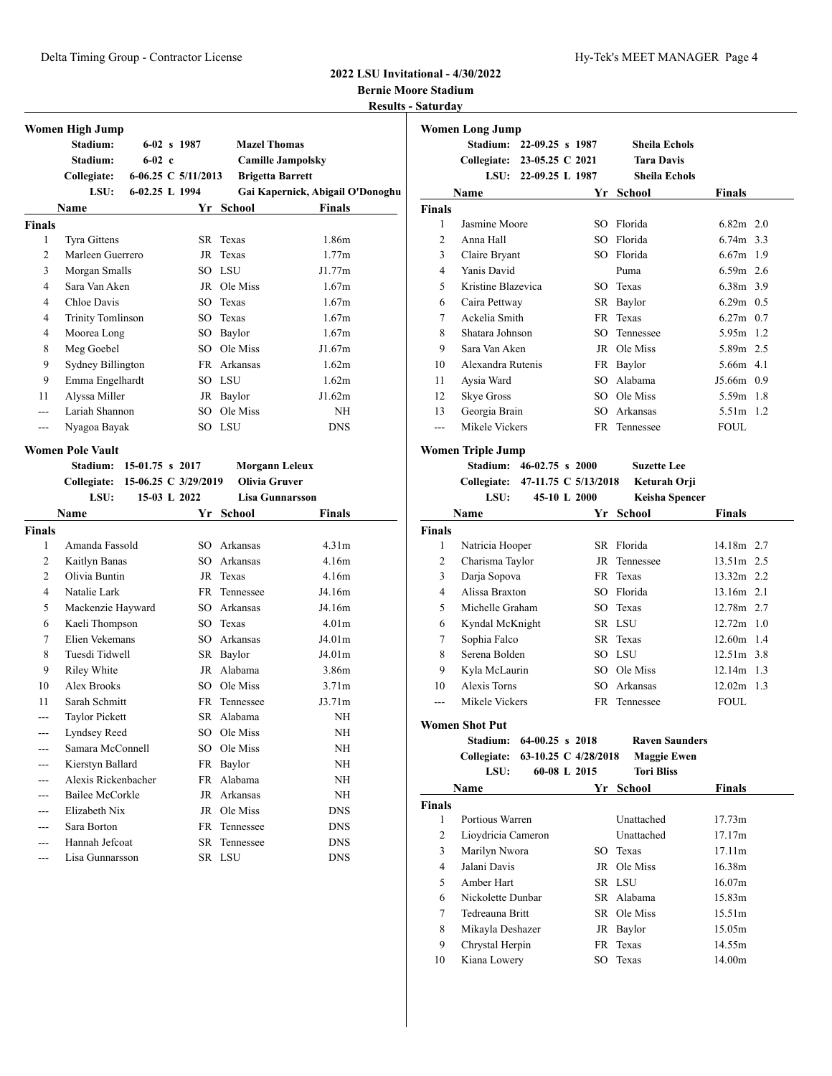### **2022 LSU Invitational - 4/30/2022 Bernie Moore Stadium**

**Results - Saturday**

|                | Women High Jump<br>Stadium: |                       | $6-02$ s 1987       | <b>Mazel Thomas</b> |                                  |
|----------------|-----------------------------|-----------------------|---------------------|---------------------|----------------------------------|
|                | Stadium:                    | $6-02$ c              |                     |                     | <b>Camille Jampolsky</b>         |
|                | Collegiate:                 |                       | 6-06.25 C 5/11/2013 |                     | <b>Brigetta Barrett</b>          |
|                | LSU:                        | 6-02.25 L 1994        |                     |                     | Gai Kapernick, Abigail O'Donoghu |
|                | Name                        |                       |                     | Yr School           | <b>Finals</b>                    |
| <b>Finals</b>  |                             |                       |                     |                     |                                  |
| 1              | <b>Tyra Gittens</b>         |                       |                     | SR Texas            | 1.86m                            |
| $\overline{2}$ | Marleen Guerrero            |                       |                     | JR Texas            | 1.77m                            |
| 3              | Morgan Smalls               |                       | SO                  | LSU                 | J1.77m                           |
| $\overline{4}$ | Sara Van Aken               |                       |                     | JR Ole Miss         | 1.67m                            |
| 4              | Chloe Davis                 |                       | SO                  | Texas               | 1.67m                            |
| 4              | <b>Trinity Tomlinson</b>    |                       | SO                  | Texas               | 1.67m                            |
| 4              | Moorea Long                 |                       | SO                  | Baylor              | 1.67m                            |
| 8              | Meg Goebel                  |                       | SO.                 | Ole Miss            | J1.67m                           |
| 9              | Sydney Billington           |                       |                     | FR Arkansas         | 1.62m                            |
| 9              | Emma Engelhardt             |                       |                     | SO LSU              | 1.62m                            |
| 11             | Alyssa Miller               |                       |                     | JR Baylor           | J1.62m                           |
|                | Lariah Shannon              |                       | SO                  | Ole Miss            | NH                               |
| ---            | Nyagoa Bayak                |                       |                     | SO LSU              | <b>DNS</b>                       |
|                | <b>Women Pole Vault</b>     |                       |                     |                     |                                  |
|                | Stadium <sup>.</sup>        | $15-0175 \times 2017$ |                     |                     | Morgann Leleux                   |

|                | otaulum.<br>10-01.10 3 4011      |              | июі данн пексил        |                    |
|----------------|----------------------------------|--------------|------------------------|--------------------|
|                | Collegiate: 15-06.25 C 3/29/2019 |              | Olivia Gruver          |                    |
|                | LSU:                             | 15-03 L 2022 | <b>Lisa Gunnarsson</b> |                    |
|                | Name                             |              | Yr School              | Finals             |
| <b>Finals</b>  |                                  |              |                        |                    |
| 1              | Amanda Fassold                   | SO.          | Arkansas               | 4.31m              |
| 2              | Kaitlyn Banas                    | SO.          | Arkansas               | 4.16m              |
| 2              | Olivia Buntin                    | JR           | Texas                  | 4.16m              |
| $\overline{4}$ | Natalie Lark                     |              | FR Tennessee           | J4.16m             |
| 5              | Mackenzie Hayward                | SO.          | Arkansas               | J4.16m             |
| 6              | Kaeli Thompson                   |              | SO Texas               | 4.01 <sub>m</sub>  |
| 7              | Elien Vekemans                   | SO.          | Arkansas               | J4.01 <sub>m</sub> |
| 8              | Tuesdi Tidwell                   |              | SR Baylor              | J4.01m             |
| 9              | Riley White                      | JR           | Alabama                | 3.86m              |
| 10             | Alex Brooks                      |              | SO Ole Miss            | 3.71 <sub>m</sub>  |
| 11             | Sarah Schmitt                    |              | FR Tennessee           | J3.71m             |
|                | <b>Taylor Pickett</b>            |              | SR Alabama             | <b>NH</b>          |
|                | Lyndsey Reed                     | SO.          | Ole Miss               | NH                 |
|                | Samara McConnell                 | SO.          | Ole Miss               | <b>NH</b>          |
| ---            | Kierstyn Ballard                 | FR           | Baylor                 | <b>NH</b>          |
|                | Alexis Rickenbacher              | <b>FR</b>    | Alabama                | <b>NH</b>          |
|                | Bailee McCorkle                  | JR           | Arkansas               | <b>NH</b>          |
|                | Elizabeth Nix                    | JR           | Ole Miss               | <b>DNS</b>         |
|                | Sara Borton                      | FR.          | Tennessee              | <b>DNS</b>         |
|                | Hannah Jefcoat                   |              | SR Tennessee           | <b>DNS</b>         |
| ---            | Lisa Gunnarsson                  |              | SR LSU                 | <b>DNS</b>         |

| Women Long Jump |                             |                      |     |                      |               |  |  |  |
|-----------------|-----------------------------|----------------------|-----|----------------------|---------------|--|--|--|
|                 | Stadium: 22-09.25 s 1987    |                      |     | <b>Sheila Echols</b> |               |  |  |  |
|                 | Collegiate: 23-05.25 C 2021 |                      |     | <b>Tara Davis</b>    |               |  |  |  |
|                 |                             | LSU: 22-09.25 L 1987 |     | <b>Sheila Echols</b> |               |  |  |  |
|                 | Name                        |                      | Yr  | School               | <b>Finals</b> |  |  |  |
| Finals          |                             |                      |     |                      |               |  |  |  |
| 1               | Jasmine Moore               |                      | SO. | Florida              | $6.82m$ 2.0   |  |  |  |
| $\overline{2}$  | Anna Hall                   |                      | SO. | Florida              | 6.74m 3.3     |  |  |  |
| 3               | Claire Bryant               |                      | SO. | Florida              | $6.67m$ 1.9   |  |  |  |
| 4               | Yanis David                 |                      |     | Puma                 | $6.59m$ 2.6   |  |  |  |
| 5               | Kristine Blazevica          |                      | SO. | Texas                | 6.38m 3.9     |  |  |  |
| 6               | Caira Pettway               |                      | SR  | Baylor               | $6.29m$ 0.5   |  |  |  |
| 7               | Ackelia Smith               |                      | FR. | Texas                | $6.27m$ 0.7   |  |  |  |
| 8               | Shatara Johnson             |                      | SO. | Tennessee            | 5.95m 1.2     |  |  |  |
| 9               | Sara Van Aken               |                      | JR. | Ole Miss             | 5.89m 2.5     |  |  |  |
| 10              | Alexandra Rutenis           |                      | FR  | Baylor               | 5.66m 4.1     |  |  |  |
| 11              | Aysia Ward                  |                      | SO  | Alabama              | J5.66m 0.9    |  |  |  |
| 12              | <b>Skye Gross</b>           |                      | SO  | Ole Miss             | 5.59m 1.8     |  |  |  |
| 13              | Georgia Brain               |                      | SO. | Arkansas             | 5.51m 1.2     |  |  |  |
| ---             | Mikele Vickers              |                      |     | FR Tennessee         | <b>FOUL</b>   |  |  |  |
|                 | Women Triple Jump           |                      |     |                      |               |  |  |  |

**Stadium: 46-02.75 s 2000 Suzette Lee**

**Collegiate: 47-11.75 C 5/13/2018 Keturah Orji**

|               | LSU:            | 45-10 L 2000 | <b>Keisha Spencer</b> |               |
|---------------|-----------------|--------------|-----------------------|---------------|
|               | <b>Name</b>     | Yr           | School                | <b>Finals</b> |
| <b>Finals</b> |                 |              |                       |               |
| 1             | Natricia Hooper |              | SR Florida            | 14.18m 2.7    |
| 2             | Charisma Taylor |              | JR Tennessee          | 13.51m 2.5    |
| 3             | Darja Sopova    |              | FR Texas              | $13.32m$ 2.2  |
| 4             | Alissa Braxton  |              | SO Florida            | $13.16m$ 2.1  |
| 5             | Michelle Graham |              | SO Texas              | 12.78m 2.7    |
| 6             | Kyndal McKnight |              | SR LSU                | $12.72m$ 1.0  |
| 7             | Sophia Falco    |              | SR Texas              | $12.60m$ 1.4  |
| 8             | Serena Bolden   |              | SO LSU                | $12.51m$ 3.8  |
| 9             | Kyla McLaurin   |              | SO Ole Miss           | $12.14m$ 1.3  |
| 10            | Alexis Torns    |              | SO Arkansas           | $12.02m$ 1.3  |
|               | Mikele Vickers  |              | FR Tennessee          | <b>FOUL</b>   |

**Women Shot Put**

**Stadium: 64-00.25 s 2018 Raven Saunders Collegiate: 63-10.25 C 4/28/2018 Maggie Ewen LSU: 60-08 L 2015 Tori Bliss**

|               | Name               | Yr | School      | <b>Finals</b> |  |
|---------------|--------------------|----|-------------|---------------|--|
| <b>Finals</b> |                    |    |             |               |  |
| 1             | Portious Warren    |    | Unattached  | 17.73m        |  |
| 2             | Lioydricia Cameron |    | Unattached  | 17.17m        |  |
| 3             | Marilyn Nwora      |    | SO Texas    | 17.11m        |  |
| 4             | Jalani Davis       |    | JR Ole Miss | 16.38m        |  |
| 5             | Amber Hart         |    | SR LSU      | 16.07m        |  |
| 6             | Nickolette Dunbar  |    | SR Alabama  | 15.83m        |  |
| 7             | Tedreauna Britt    |    | SR Ole Miss | 15.51m        |  |
| 8             | Mikayla Deshazer   |    | JR Baylor   | 15.05m        |  |
| 9             | Chrystal Herpin    |    | FR Texas    | 14.55m        |  |
| 10            | Kiana Lowery       |    | SO Texas    | 14.00m        |  |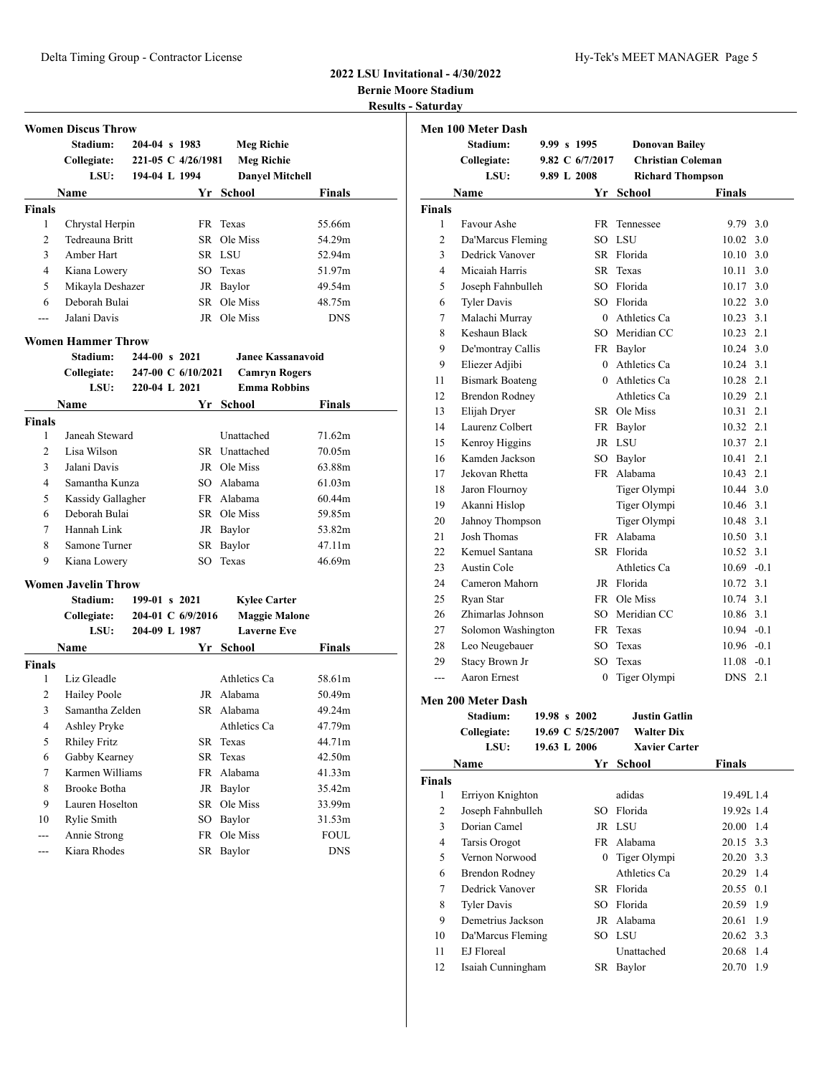### **2022 LSU Invitational - 4/30/2022 Bernie Moore Stadium Results - Saturday**

**Women Discus Throw Stadium: 204-04 s 1983 Meg Richie Collegiate: 221-05 C 4/26/1981 Meg Richie LSU: 194-04 L 1994 Danyel Mitchell Name Yr School Finals Finals** Chrystal Herpin FR Texas 55.66m 2 Tedreauna Britt SR Ole Miss 54.29m 3 Amber Hart SR LSU 52.94m Kiana Lowery SO Texas 51.97m Mikayla Deshazer JR Baylor 49.54m Deborah Bulai SR Ole Miss 48.75m --- Jalani Davis JR Ole Miss DNS **Women Hammer Throw Stadium: 244-00 s 2021 Janee Kassanavoid Collegiate: 247-00 C 6/10/2021 Camryn Rogers LSU: 220-04 L 2021 Emma Robbins Name Yr School Finals Finals** Janeah Steward Unattached 71.62m Lisa Wilson SR Unattached 70.05m Jalani Davis JR Ole Miss 63.88m Samantha Kunza SO Alabama 61.03m Kassidy Gallagher FR Alabama 60.44m Deborah Bulai SR Ole Miss 59.85m Hannah Link JR Baylor 53.82m 8 Samone Turner SR Baylor 47.11m Kiana Lowery SO Texas 46.69m **Women Javelin Throw Stadium: 199-01 s 2021 Kylee Carter Collegiate: 204-01 C 6/9/2016 Maggie Malone LSU: 204-09 L 1987 Laverne Eve**

|               | <b>Name</b>         | Yr  | School       | <b>Finals</b> |  |
|---------------|---------------------|-----|--------------|---------------|--|
| <b>Finals</b> |                     |     |              |               |  |
| 1             | Liz Gleadle         |     | Athletics Ca | 58.61m        |  |
| 2             | Hailey Poole        |     | JR Alabama   | 50.49m        |  |
| 3             | Samantha Zelden     |     | SR Alabama   | 49.24m        |  |
| 4             | Ashley Pryke        |     | Athletics Ca | 47.79m        |  |
| 5             | <b>Rhiley Fritz</b> |     | SR Texas     | 44.71m        |  |
| 6             | Gabby Kearney       |     | SR Texas     | 42.50m        |  |
| 7             | Karmen Williams     |     | FR Alabama   | 41.33m        |  |
| 8             | Brooke Botha        |     | JR Baylor    | 35.42m        |  |
| 9             | Lauren Hoselton     |     | SR Ole Miss  | 33.99m        |  |
| 10            | Rylie Smith         | SO. | Baylor       | 31.53m        |  |
| ---           | Annie Strong        | FR. | Ole Miss     | <b>FOUL</b>   |  |
|               | Kiara Rhodes        | SR  | Baylor       | <b>DNS</b>    |  |
|               |                     |     |              |               |  |

|                | <b>Men 100 Meter Dash</b> |             |                   |                          |               |     |
|----------------|---------------------------|-------------|-------------------|--------------------------|---------------|-----|
|                | Stadium:                  | 9.99 s 1995 |                   | <b>Donovan Bailey</b>    |               |     |
|                | Collegiate:               |             | 9.82 $C$ 6/7/2017 | <b>Christian Coleman</b> |               |     |
|                | LSU:                      | 9.89 L 2008 |                   | <b>Richard Thompson</b>  |               |     |
|                | Name                      |             |                   | Yr School                | <b>Finals</b> |     |
| <b>Finals</b>  |                           |             |                   |                          |               |     |
| 1              | Favour Ashe               |             | <b>FR</b>         | Tennessee                | 9.79 3.0      |     |
| $\overline{c}$ | Da'Marcus Fleming         |             | SO.               | <b>LSU</b>               | 10.02         | 3.0 |
| 3              | Dedrick Vanover           |             |                   | SR Florida               | 10.10 3.0     |     |
| 4              | Micaiah Harris            |             | SR.               | Texas                    | 10.11         | 3.0 |
| 5              | Joseph Fahnbulleh         |             |                   | SO Florida               | 10.17, 3.0    |     |
| 6              | <b>Tyler Davis</b>        |             |                   | SO Florida               | 10.22 3.0     |     |
| 7              | Malachi Murray            |             |                   | 0 Athletics Ca           | 10.23 3.1     |     |
| 8              | Keshaun Black             |             |                   | SO Meridian CC           | $10.23$ 2.1   |     |
| 9              | De'montray Callis         |             |                   | FR Baylor                | 10.24 3.0     |     |
| 9              | Eliezer Adjibi            |             | 0                 | Athletics Ca             | 10.24 3.1     |     |
| 11             | <b>Bismark Boateng</b>    |             | 0                 | Athletics Ca             | $10.28$ 2.1   |     |
| 12             | <b>Brendon Rodney</b>     |             |                   | Athletics Ca             | 10.29 2.1     |     |
| 13             | Elijah Dryer              |             |                   | SR Ole Miss              | 10.31 2.1     |     |
| 14             | Laurenz Colbert           |             | <b>FR</b>         | Baylor                   | 10.32 2.1     |     |
| 15             | Kenroy Higgins            |             |                   | JR LSU                   | 10.37 2.1     |     |
| 16             | Kamden Jackson            |             | $SO^-$            | Baylor                   | 10.41 2.1     |     |
| 17             | Jekovan Rhetta            |             | FR -              | Alabama                  | 10.43 2.1     |     |
| 18             | Jaron Flournoy            |             |                   | Tiger Olympi             | 10.44 3.0     |     |
| 19             | Akanni Hislop             |             |                   | Tiger Olympi             | 10.46 3.1     |     |
| 20             | Jahnoy Thompson           |             |                   | Tiger Olympi             | 10.48 3.1     |     |
| 21             | Josh Thomas               |             | FR -              | Alabama                  | 10.50 3.1     |     |
| 22             | Kemuel Santana            |             |                   | SR Florida               | 10.52 3.1     |     |
| 23             | Austin Cole               |             |                   | Athletics Ca             | $10.69 - 0.1$ |     |
| 24             | Cameron Mahorn            |             |                   | JR Florida               | 10.72 3.1     |     |
| 25             | Ryan Star                 |             | <b>FR</b>         | Ole Miss                 | 10.74 3.1     |     |
| 26             | Zhimarlas Johnson         |             |                   | SO Meridian CC           | 10.86 3.1     |     |
| 27             | Solomon Washington        |             | FR                | Texas                    | $10.94 - 0.1$ |     |
| 28             | Leo Neugebauer            |             | SO                | Texas                    | $10.96 - 0.1$ |     |
| 29             | <b>Stacy Brown Jr</b>     |             | SO.               | Texas                    | $11.08 - 0.1$ |     |
| ---            | Aaron Ernest              |             | 0                 | Tiger Olympi             | <b>DNS</b>    | 2.1 |
|                |                           |             |                   |                          |               |     |

#### **Men 200 Meter Dash**

**Stadium: 19.98 s 2002 Justin Gatlin Collegiate: 19.69 C 5/25/2007 Walter Dix LSU: 19.63 L 2006 Xavier Carter**

| Name          |                    | Yr | <b>School</b>  | Finals            |
|---------------|--------------------|----|----------------|-------------------|
| <b>Finals</b> |                    |    |                |                   |
| 1             | Erriyon Knighton   |    | adidas         | 19.49L 1.4        |
| 2             | Joseph Fahnbulleh  |    | SO Florida     | 19.92s 1.4        |
| 3             | Dorian Camel       |    | JR LSU         | $20.00 \quad 1.4$ |
| 4             | Tarsis Orogot      |    | FR Alabama     | 20.15 3.3         |
| 5             | Vernon Norwood     |    | 0 Tiger Olympi | 20.20 3.3         |
| 6             | Brendon Rodney     |    | Athletics Ca   | 20.29 1.4         |
| 7             | Dedrick Vanover    |    | SR Florida     | 20.55 0.1         |
| 8             | <b>Tyler Davis</b> |    | SO Florida     | 20.59 1.9         |
| 9             | Demetrius Jackson  |    | JR Alabama     | 20.61 1.9         |
| 10            | Da'Marcus Fleming  |    | SO LSU         | 20.62 3.3         |
| 11            | EJ Floreal         |    | Unattached     | 20.68 1.4         |
| 12            | Isaiah Cunningham  | SR | Baylor         | 20.70 1.9         |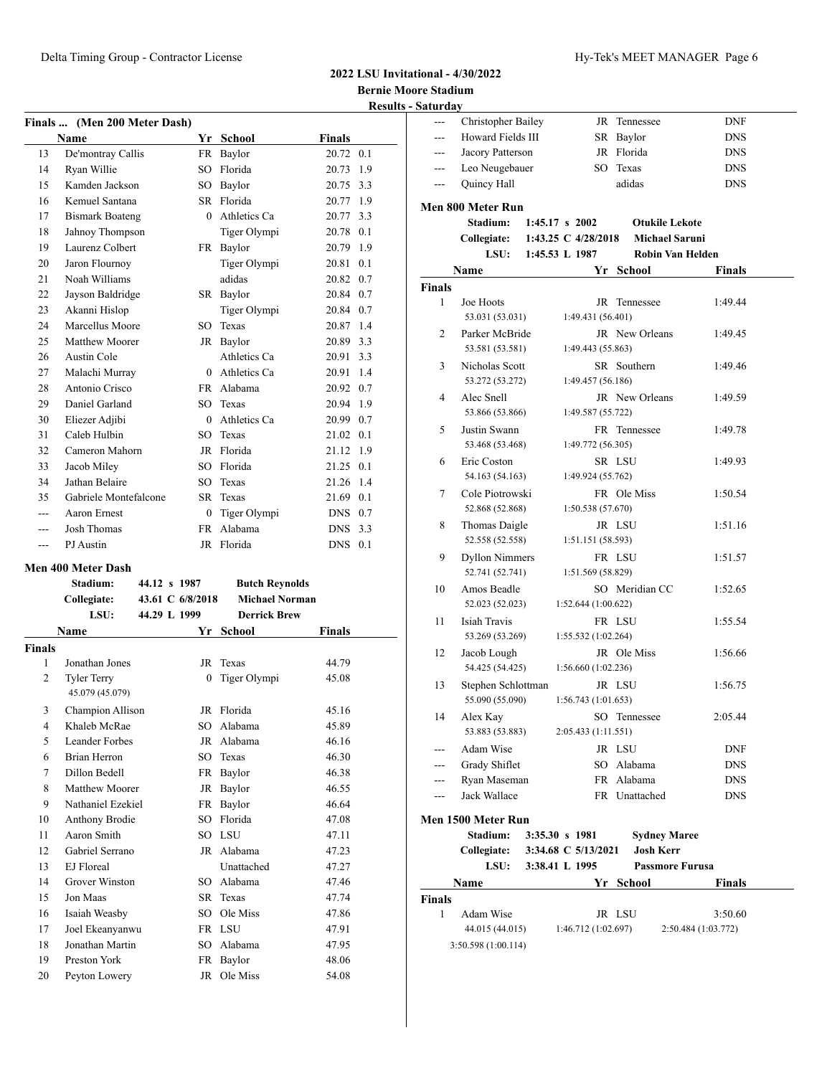### **2022 LSU Invitational - 4/30/2022 Bernie Moore Stadium Results - Saturday**

| Finals  (Men 200 Meter Dash) |                        |              |               |                   |  |  |  |  |
|------------------------------|------------------------|--------------|---------------|-------------------|--|--|--|--|
|                              | Name                   | Yr           | <b>School</b> | <b>Finals</b>     |  |  |  |  |
| 13                           | De'montray Callis      | FR           | Baylor        | 20.72<br>0.1      |  |  |  |  |
| 14                           | Ryan Willie            | SO.          | Florida       | 1.9<br>20.73      |  |  |  |  |
| 15                           | Kamden Jackson         | SO           | Baylor        | 20.75<br>3.3      |  |  |  |  |
| 16                           | Kemuel Santana         | SR.          | Florida       | 20.77<br>1.9      |  |  |  |  |
| 17                           | <b>Bismark Boateng</b> | $\theta$     | Athletics Ca  | 20.77<br>3.3      |  |  |  |  |
| 18                           | Jahnoy Thompson        |              | Tiger Olympi  | 0.1<br>20.78      |  |  |  |  |
| 19                           | Laurenz Colbert        | FR           | Baylor        | 1.9<br>20.79      |  |  |  |  |
| 20                           | Jaron Flournoy         |              | Tiger Olympi  | 20.81<br>0.1      |  |  |  |  |
| 21                           | Noah Williams          |              | adidas        | 20.82<br>0.7      |  |  |  |  |
| 22                           | Jayson Baldridge       | SR           | Baylor        | 20.84 0.7         |  |  |  |  |
| 23                           | Akanni Hislop          |              | Tiger Olympi  | 20.84<br>0.7      |  |  |  |  |
| 24                           | Marcellus Moore        | SO.          | Texas         | 20.87<br>1.4      |  |  |  |  |
| 25                           | Matthew Moorer         | JR           | Baylor        | 20.89 3.3         |  |  |  |  |
| 26                           | Austin Cole            |              | Athletics Ca  | 20.91<br>3.3      |  |  |  |  |
| 27                           | Malachi Murray         | $\Omega$     | Athletics Ca  | 1.4<br>20.91      |  |  |  |  |
| 28                           | Antonio Crisco         | <b>FR</b>    | Alabama       | 20.92<br>0.7      |  |  |  |  |
| 29                           | Daniel Garland         | SO.          | Texas         | 20.94<br>1.9      |  |  |  |  |
| 30                           | Eliezer Adjibi         | $\theta$     | Athletics Ca  | 20.99<br>0.7      |  |  |  |  |
| 31                           | Caleb Hulbin           | SO.          | Texas         | 21.02<br>0.1      |  |  |  |  |
| 32                           | Cameron Mahorn         | JR           | Florida       | 21.12<br>1.9      |  |  |  |  |
| 33                           | Jacob Miley            | SO.          | Florida       | 21.25<br>0.1      |  |  |  |  |
| 34                           | Jathan Belaire         | SO.          | Texas         | 21.26<br>1.4      |  |  |  |  |
| 35                           | Gabriele Montefalcone  | SR.          | Texas         | 21.69<br>0.1      |  |  |  |  |
| ---                          | Aaron Ernest           | $\mathbf{0}$ | Tiger Olympi  | <b>DNS</b><br>0.7 |  |  |  |  |
|                              | Josh Thomas            | <b>FR</b>    | Alabama       | <b>DNS</b><br>3.3 |  |  |  |  |
| ---                          | PJ Austin              | JR           | Florida       | <b>DNS</b><br>0.1 |  |  |  |  |

### **Men 400 Meter Dash**

|                | имп тоо имме разн                     |                  |                       |               |
|----------------|---------------------------------------|------------------|-----------------------|---------------|
|                | Stadium:                              | 44.12 s 1987     | <b>Butch Reynolds</b> |               |
|                | Collegiate:                           | 43.61 C 6/8/2018 | <b>Michael Norman</b> |               |
|                | LSU:                                  | 44.29 L 1999     | <b>Derrick Brew</b>   |               |
|                | Name                                  | Yr               | <b>School</b>         | <b>Finals</b> |
| <b>Finals</b>  |                                       |                  |                       |               |
| 1              | Jonathan Jones                        | JR               | Texas                 | 44.79         |
| $\overline{c}$ | <b>Tyler Terry</b><br>45.079 (45.079) | $\Omega$         | Tiger Olympi          | 45.08         |
| 3              | Champion Allison                      |                  | JR Florida            | 45.16         |
| $\overline{4}$ | Khaleb McRae                          | SO.              | Alabama               | 45.89         |
| 5              | Leander Forbes                        |                  | JR Alabama            | 46.16         |
| 6              | Brian Herron                          | SO.              | Texas                 | 46.30         |
| 7              | Dillon Bedell                         | FR               | Baylor                | 46.38         |
| 8              | Matthew Moorer                        | JR               | Baylor                | 46.55         |
| 9              | Nathaniel Ezekiel                     | FR               | Baylor                | 46.64         |
| 10             | <b>Anthony Brodie</b>                 | SO.              | Florida               | 47.08         |
| 11             | Aaron Smith                           |                  | SO LSU                | 47.11         |
| 12             | Gabriel Serrano                       |                  | JR Alabama            | 47.23         |
| 13             | EJ Floreal                            |                  | Unattached            | 47.27         |
| 14             | Grover Winston                        | SO.              | Alabama               | 47.46         |
| 15             | Jon Maas                              |                  | SR Texas              | 47.74         |
| 16             | Isaiah Weasby                         | SO.              | Ole Miss              | 47.86         |
| 17             | Joel Ekeanyanwu                       |                  | FR LSU                | 47.91         |
| 18             | Jonathan Martin                       | SO               | Alabama               | 47.95         |
| 19             | Preston York                          | FR               | Baylor                | 48.06         |
| 20             | Peyton Lowery                         | JR               | Ole Miss              | 54.08         |

| Saturuay               |                       |                           |                  |                         |
|------------------------|-----------------------|---------------------------|------------------|-------------------------|
| ---                    | Christopher Bailey    |                           | JR Tennessee     | DNF                     |
|                        | Howard Fields III     |                           | SR Baylor        | <b>DNS</b>              |
|                        | Jacory Patterson      |                           | JR Florida       | <b>DNS</b>              |
| ---                    | Leo Neugebauer        |                           | SO Texas         | <b>DNS</b>              |
| $\qquad \qquad \cdots$ | Quincy Hall           |                           | adidas           | <b>DNS</b>              |
|                        |                       |                           |                  |                         |
|                        | Men 800 Meter Run     |                           |                  |                         |
|                        | Stadium:              | $1:45.17 \text{ s } 2002$ |                  | <b>Otukile Lekote</b>   |
|                        | <b>Collegiate:</b>    | 1:43.25 C 4/28/2018       |                  | <b>Michael Saruni</b>   |
|                        | LSU:                  | 1:45.53 L 1987            |                  | <b>Robin Van Helden</b> |
|                        | Name                  |                           | Yr School        | Finals                  |
| <b>Finals</b>          |                       |                           |                  |                         |
| 1                      | Joe Hoots             | JR                        | Tennessee        | 1:49.44                 |
|                        | 53.031 (53.031)       | 1:49.431 (56.401)         |                  |                         |
| 2                      | Parker McBride        |                           | JR New Orleans   | 1:49.45                 |
|                        | 53.581 (53.581)       | 1:49.443 (55.863)         |                  |                         |
| 3                      | Nicholas Scott        |                           | SR Southern      | 1:49.46                 |
|                        | 53.272 (53.272)       | 1:49.457 (56.186)         |                  |                         |
| 4                      | Alec Snell            |                           | JR New Orleans   | 1:49.59                 |
|                        | 53.866 (53.866)       | 1:49.587 (55.722)         |                  |                         |
| 5                      | Justin Swann          |                           | FR Tennessee     | 1:49.78                 |
|                        | 53.468 (53.468)       | 1:49.772 (56.305)         |                  |                         |
| 6                      | Eric Coston           |                           | SR LSU           | 1:49.93                 |
|                        | 54.163 (54.163)       | 1:49.924 (55.762)         |                  |                         |
|                        |                       |                           |                  |                         |
| 7                      | Cole Piotrowski       |                           | FR Ole Miss      | 1:50.54                 |
|                        | 52.868 (52.868)       | 1:50.538(57.670)          |                  |                         |
| 8                      | Thomas Daigle         |                           | JR LSU           | 1:51.16                 |
|                        | 52.558 (52.558)       | 1:51.151(58.593)          |                  |                         |
| 9                      | <b>Dyllon Nimmers</b> |                           | FR LSU           | 1:51.57                 |
|                        | 52.741 (52.741)       | 1:51.569 (58.829)         |                  |                         |
| 10                     | Amos Beadle           |                           | SO Meridian CC   | 1:52.65                 |
|                        | 52.023 (52.023)       | 1:52.644(1:00.622)        |                  |                         |
| 11                     | Isiah Travis          |                           | FR LSU           | 1:55.54                 |
|                        | 53.269 (53.269)       | 1:55.532(1:02.264)        |                  |                         |
| 12                     | Jacob Lough           |                           | JR Ole Miss      | 1:56.66                 |
|                        | 54.425 (54.425)       | 1:56.660(1:02.236)        |                  |                         |
| 13                     | Stephen Schlottman    |                           | JR LSU           | 1:56.75                 |
|                        | 55.090 (55.090)       | 1:56.743(1:01.653)        |                  |                         |
| 14                     | Alex Kay              |                           | SO Tennessee     | 2:05.44                 |
|                        | 53.883 (53.883)       | 2:05.433 (1:11.551)       |                  |                         |
| $---$                  | Adam Wise             |                           | JR LSU           | <b>DNF</b>              |
| ---                    | Grady Shiflet         |                           | SO Alabama       | <b>DNS</b>              |
| ---                    | Ryan Maseman          |                           | FR Alabama       | <b>DNS</b>              |
| ---                    | Jack Wallace          |                           | FR Unattached    | <b>DNS</b>              |
|                        |                       |                           |                  |                         |
|                        | Men 1500 Meter Run    |                           |                  |                         |
|                        | <b>Stadium:</b>       | 3:35.30 s 1981            |                  | <b>Sydney Maree</b>     |
|                        | Collegiate:           | 3:34.68 C 5/13/2021       | <b>Josh Kerr</b> |                         |
|                        | LSU:                  | 3:38.41 L 1995            |                  | <b>Passmore Furusa</b>  |
|                        | Name                  |                           | Yr School        | Finals                  |
| Finals                 |                       |                           |                  |                         |
| 1                      | Adam Wise             |                           | JR LSU           | 3:50.60                 |
|                        | 44.015 (44.015)       | 1:46.712(1:02.697)        |                  | 2:50.484 (1:03.772)     |
|                        | 3:50.598 (1:00.114)   |                           |                  |                         |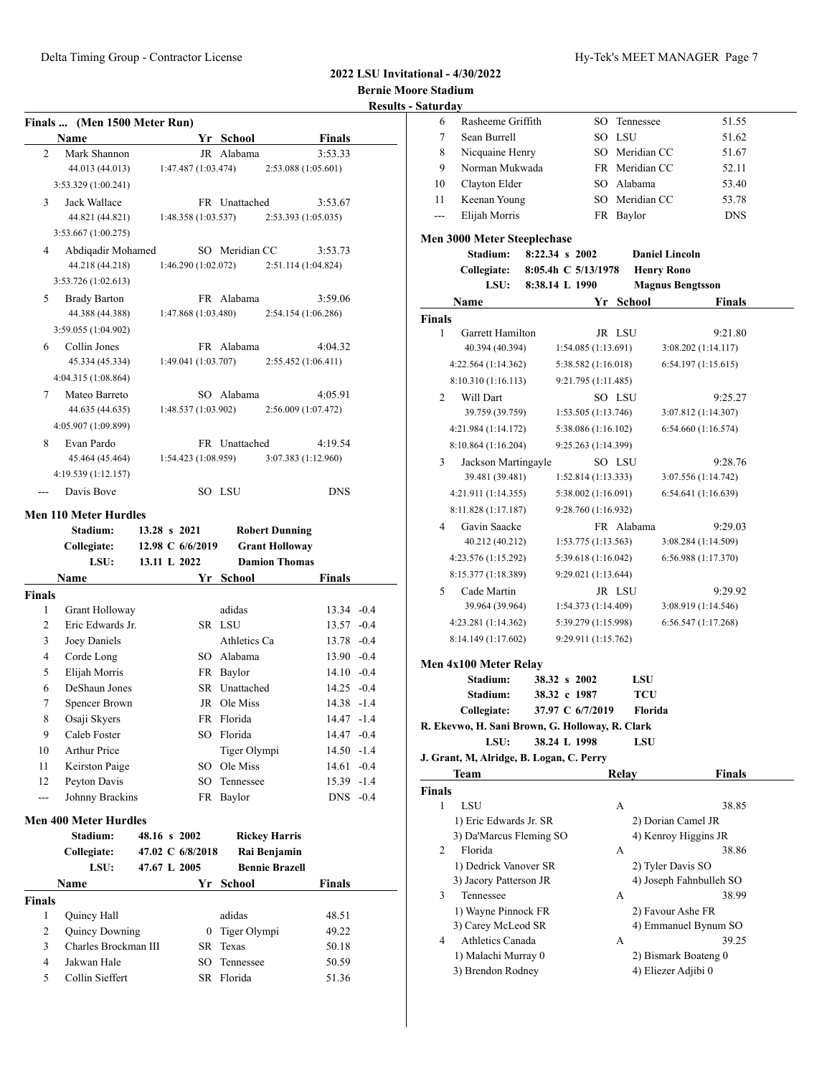**2022 LSU Invitational - 4/30/2022 Bernie Moore Stadium**

## **Results - S**

| Finals  (Men 1500 Meter Run) |                     |                    |  |                     |                     |               |  |
|------------------------------|---------------------|--------------------|--|---------------------|---------------------|---------------|--|
|                              | <b>Name</b>         |                    |  | Yr School           |                     | <b>Finals</b> |  |
| 2                            | Mark Shannon        |                    |  | JR Alabama          |                     | 3:53.33       |  |
|                              | 44.013 (44.013)     |                    |  | 1:47.487(1:03.474)  | 2:53.088 (1:05.601) |               |  |
|                              | 3:53.329 (1:00.241) |                    |  |                     |                     |               |  |
| $\mathcal{E}$                | Jack Wallace        |                    |  | FR Unattached       |                     | 3:53.67       |  |
|                              | 44.821 (44.821)     |                    |  | 1:48.358(1:03.537)  | 2:53.393 (1:05.035) |               |  |
|                              | 3:53.667(1:00.275)  |                    |  |                     |                     |               |  |
| 4                            | Abdigadir Mohamed   |                    |  | SO Meridian CC      |                     | 3:53.73       |  |
|                              | 44.218 (44.218)     |                    |  | 1:46.290 (1:02.072) | 2:51.114 (1:04.824) |               |  |
|                              | 3:53.726(1:02.613)  |                    |  |                     |                     |               |  |
| 5                            | <b>Brady Barton</b> |                    |  | FR Alabama          |                     | 3:59.06       |  |
|                              | 44.388 (44.388)     |                    |  | 1:47.868(1:03.480)  | 2:54.154(1:06.286)  |               |  |
|                              | 3:59.055 (1:04.902) |                    |  |                     |                     |               |  |
| 6                            | Collin Jones        |                    |  | FR Alabama          |                     | 4:04.32       |  |
|                              | 45.334 (45.334)     |                    |  | 1:49.041(1:03.707)  | 2:55.452(1:06.411)  |               |  |
|                              | 4:04.315 (1:08.864) |                    |  |                     |                     |               |  |
| 7                            | Mateo Barreto       |                    |  | SO Alabama          |                     | 4:05.91       |  |
|                              | 44.635 (44.635)     | 1:48.537(1:03.902) |  |                     | 2:56.009 (1:07.472) |               |  |
|                              | 4:05.907 (1:09.899) |                    |  |                     |                     |               |  |
| 8                            | Evan Pardo          |                    |  | FR Unattached       |                     | 4:19.54       |  |
|                              | 45.464 (45.464)     |                    |  | 1:54.423(1:08.959)  | 3:07.383 (1:12.960) |               |  |
|                              | 4:19.539 (1:12.157) |                    |  |                     |                     |               |  |
|                              | Davis Rove          |                    |  | SO LSU              |                     | <b>DNS</b>    |  |
|                              |                     |                    |  |                     |                     |               |  |

### **Men 110 Meter Hurdles**

|                | Stadium:                     | 13.28 s 2021 |                  | <b>Robert Dunning</b> |               |  |
|----------------|------------------------------|--------------|------------------|-----------------------|---------------|--|
|                | Collegiate:                  |              | 12.98 C 6/6/2019 | <b>Grant Holloway</b> |               |  |
|                | LSU:                         | 13.11 L 2022 |                  | <b>Damion Thomas</b>  |               |  |
|                | Name                         |              | Yr               | School                | <b>Finals</b> |  |
| <b>Finals</b>  |                              |              |                  |                       |               |  |
| 1              | Grant Holloway               |              |                  | adidas                | $13.34 - 0.4$ |  |
| $\overline{2}$ | Eric Edwards Jr.             |              |                  | SR LSU                | $13.57 - 0.4$ |  |
| 3              | Joey Daniels                 |              |                  | Athletics Ca          | 13.78 -0.4    |  |
| $\overline{4}$ | Corde Long                   |              |                  | SO Alabama            | $13.90 - 0.4$ |  |
| 5              | Elijah Morris                |              |                  | FR Baylor             | $14.10 - 0.4$ |  |
| 6              | DeShaun Jones                |              |                  | SR Unattached         | $14.25 -0.4$  |  |
| 7              | Spencer Brown                |              |                  | JR Ole Miss           | $14.38 - 1.4$ |  |
| 8              | Osaji Skyers                 |              |                  | FR Florida            | $14.47 - 1.4$ |  |
| 9              | Caleb Foster                 |              | SO.              | Florida               | $14.47 - 0.4$ |  |
| 10             | <b>Arthur Price</b>          |              |                  | Tiger Olympi          | $14.50 - 1.4$ |  |
| 11             | Keirston Paige               |              | $SO^-$           | Ole Miss              | $14.61 - 0.4$ |  |
| 12             | Peyton Davis                 |              | $SO^-$           | Tennessee             | $15.39 - 1.4$ |  |
| $---$          | Johnny Brackins              |              |                  | FR Baylor             | $DNS -0.4$    |  |
|                | <b>Men 400 Meter Hurdles</b> |              |                  |                       |               |  |
|                | Stadium:                     | 48.16 s 2002 |                  | <b>Rickey Harris</b>  |               |  |
|                | Collegiate:                  |              | 47.02 C 6/8/2018 | Rai Benjamin          |               |  |
|                | LSU:                         | 47.67 L 2005 |                  | <b>Bennie Brazell</b> |               |  |
|                | <b>Name</b>                  |              | Yr               | School                | <b>Finals</b> |  |
| <b>Finals</b>  |                              |              |                  |                       |               |  |
| 1              | Quincy Hall                  |              |                  | adidas                | 48.51         |  |

| 1 Ouincy Hall         | adidas | 48.51                                                    |
|-----------------------|--------|----------------------------------------------------------|
| <b>Ouincy Downing</b> |        | 49.22                                                    |
| Charles Brockman III  |        | 50.18                                                    |
| Jakwan Hale           |        | 50.59                                                    |
| Collin Sieffert       |        | 51.36                                                    |
|                       |        | 0 Tiger Olympi<br>SR Texas<br>SO Tennessee<br>SR Florida |

| Saturday      |                                                 |                     |                   |                         |  |
|---------------|-------------------------------------------------|---------------------|-------------------|-------------------------|--|
| 6             | Rasheeme Griffith                               | SO                  | Tennessee         | 51.55                   |  |
| 7             | Sean Burrell                                    |                     | SO LSU            | 51.62                   |  |
| 8             | Nicquaine Henry                                 |                     | SO Meridian CC    | 51.67                   |  |
| 9             | Norman Mukwada                                  |                     | FR Meridian CC    | 52.11                   |  |
| 10            | Clayton Elder                                   |                     | SO Alabama        | 53.40                   |  |
| 11            | Keenan Young                                    |                     | SO Meridian CC    | 53.78                   |  |
| $---$         | Elijah Morris                                   |                     | FR Baylor         | <b>DNS</b>              |  |
|               |                                                 |                     |                   |                         |  |
|               | <b>Men 3000 Meter Steeplechase</b>              |                     |                   |                         |  |
|               | Stadium:                                        | 8:22.34 s 2002      |                   | <b>Daniel Lincoln</b>   |  |
|               | Collegiate:                                     | 8:05.4h C 5/13/1978 | <b>Henry Rono</b> |                         |  |
|               | LSU:                                            | 8:38.14 L 1990      |                   | <b>Magnus Bengtsson</b> |  |
|               | Name                                            | Yr                  | <b>School</b>     | <b>Finals</b>           |  |
| <b>Finals</b> |                                                 |                     |                   |                         |  |
| 1             | <b>Garrett Hamilton</b>                         |                     | JR LSU            | 9:21.80                 |  |
|               | 40.394 (40.394)                                 | 1:54.085(1:13.691)  |                   | 3:08.202 (1:14.117)     |  |
|               | 4:22.564(1:14.362)                              | 5:38.582 (1:16.018) |                   | 6:54.197(1:15.615)      |  |
|               | 8:10.310 (1:16.113)                             | 9:21.795 (1:11.485) |                   |                         |  |
| 2             | Will Dart                                       |                     | SO LSU            | 9:25.27                 |  |
|               | 39.759 (39.759)                                 | 1:53.505(1:13.746)  |                   | 3:07.812 (1:14.307)     |  |
|               | 4:21.984 (1:14.172)                             | 5:38.086 (1:16.102) |                   | 6:54.660 (1:16.574)     |  |
|               | 8:10.864 (1:16.204)                             | 9:25.263 (1:14.399) |                   |                         |  |
| 3             | Jackson Martingayle                             |                     | SO LSU            | 9:28.76                 |  |
|               | 39.481 (39.481)                                 | 1:52.814 (1:13.333) |                   | 3:07.556 (1:14.742)     |  |
|               | 4:21.911 (1:14.355)                             | 5:38.002 (1:16.091) |                   | 6:54.641(1:16.639)      |  |
|               |                                                 |                     |                   |                         |  |
|               | 8:11.828 (1:17.187)                             | 9:28.760 (1:16.932) |                   |                         |  |
| 4             | Gavin Saacke                                    |                     | FR Alabama        | 9:29.03                 |  |
|               | 40.212 (40.212)                                 | 1:53.775(1:13.563)  |                   | 3:08.284 (1:14.509)     |  |
|               | 4:23.576 (1:15.292)                             | 5:39.618 (1:16.042) |                   | 6:56.988 (1:17.370)     |  |
|               | 8:15.377 (1:18.389)                             | 9:29.021 (1:13.644) |                   |                         |  |
| 5             | Cade Martin                                     |                     | JR LSU            | 9:29.92                 |  |
|               | 39.964 (39.964)                                 | 1:54.373(1:14.409)  |                   | 3:08.919 (1:14.546)     |  |
|               | 4:23.281 (1:14.362)                             | 5:39.279 (1:15.998) |                   | 6:56.547 (1:17.268)     |  |
|               | 8:14.149 (1:17.602)                             | 9:29.911 (1:15.762) |                   |                         |  |
|               |                                                 |                     |                   |                         |  |
|               | Men 4x100 Meter Relay                           |                     |                   |                         |  |
|               | Stadium:                                        | 38.32 s 2002        | LSU               |                         |  |
|               | Stadium:                                        | 38.32 c 1987        | <b>TCU</b>        |                         |  |
|               | Collegiate:                                     | 37.97 C 6/7/2019    | Florida           |                         |  |
|               | R. Ekevwo, H. Sani Brown, G. Holloway, R. Clark |                     |                   |                         |  |
|               | LSU:                                            | 38.24 L 1998        | LSU               |                         |  |
|               | J. Grant, M, Alridge, B. Logan, C. Perry        |                     |                   |                         |  |
|               | Team                                            |                     | Relay             | <b>Finals</b>           |  |
| Finals        |                                                 |                     |                   |                         |  |
| 1             | LSU                                             |                     | А                 | 38.85                   |  |
|               | 1) Eric Edwards Jr. SR                          |                     |                   | 2) Dorian Camel JR      |  |
|               | 3) Da'Marcus Fleming SO                         |                     |                   | 4) Kenroy Higgins JR    |  |
| 2             | Florida                                         |                     | А                 | 38.86                   |  |
|               | 1) Dedrick Vanover SR                           |                     |                   | 2) Tyler Davis SO       |  |
|               | 3) Jacory Patterson JR                          |                     |                   | 4) Joseph Fahnbulleh SO |  |
| 3             | Tennessee                                       |                     | А                 | 38.99                   |  |
|               | 1) Wayne Pinnock FR                             |                     |                   | 2) Favour Ashe FR       |  |
|               | 3) Carey McLeod SR                              |                     |                   | 4) Emmanuel Bynum SO    |  |
| 4             | Athletics Canada                                |                     | А                 | 39.25                   |  |
|               | 1) Malachi Murray 0                             |                     |                   | 2) Bismark Boateng 0    |  |
|               | 3) Brendon Rodney                               |                     |                   | 4) Eliezer Adjibi 0     |  |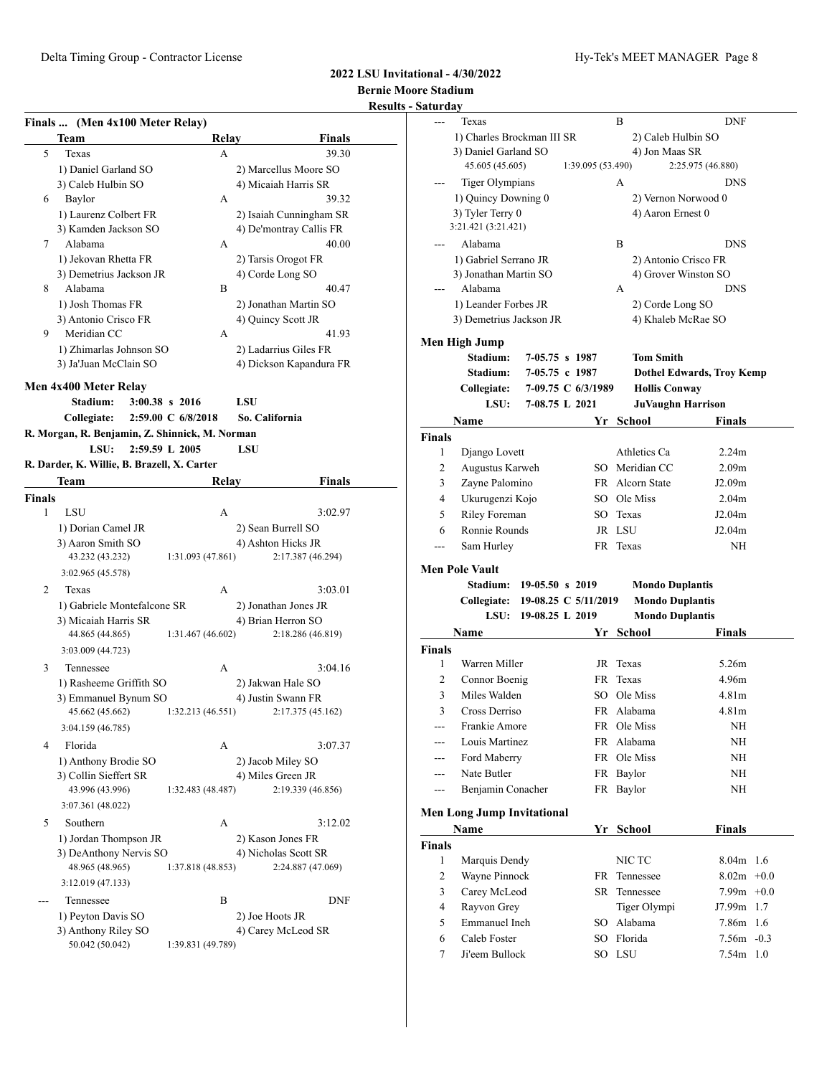### **2022 LSU Invitational - 4/30/2022 Bernie Moore Stadium Results - Sat**

|              | Finals  (Men 4x100 Meter Relay)                |                    |                         |
|--------------|------------------------------------------------|--------------------|-------------------------|
|              | Team                                           | Relay              | Finals                  |
| 5            | Texas                                          | A                  | 39.30                   |
|              | 1) Daniel Garland SO                           |                    | 2) Marcellus Moore SO   |
|              | 3) Caleb Hulbin SO                             |                    | 4) Micaiah Harris SR    |
| 6            | Baylor                                         | А                  | 39.32                   |
|              | 1) Laurenz Colbert FR                          |                    | 2) Isaiah Cunningham SR |
|              | 3) Kamden Jackson SO                           |                    | 4) De'montray Callis FR |
| 7            | Alabama                                        | А                  | 40.00                   |
|              | 1) Jekovan Rhetta FR                           |                    | 2) Tarsis Orogot FR     |
|              | 3) Demetrius Jackson JR                        |                    | 4) Corde Long SO        |
| 8            | Alabama                                        | В                  | 40.47                   |
|              | 1) Josh Thomas FR                              |                    | 2) Jonathan Martin SO   |
|              | 3) Antonio Crisco FR                           |                    | 4) Quincy Scott JR      |
| 9            | Meridian CC                                    | A                  | 41.93                   |
|              |                                                |                    |                         |
|              | 1) Zhimarlas Johnson SO                        |                    | 2) Ladarrius Giles FR   |
|              | 3) Ja'Juan McClain SO                          |                    | 4) Dickson Kapandura FR |
|              | Men 4x400 Meter Relav                          |                    |                         |
|              | Stadium:                                       | 3:00.38 s 2016     | LSU                     |
|              | Collegiate:                                    | 2:59.00 C 6/8/2018 | So. California          |
|              | R. Morgan, R. Benjamin, Z. Shinnick, M. Norman |                    |                         |
|              | LSU:                                           | 2:59.59 L 2005     | LSU                     |
|              |                                                |                    |                         |
|              | R. Darder, K. Willie, B. Brazell, X. Carter    |                    |                         |
|              | Team                                           | Relay              | <b>Finals</b>           |
| Finals       |                                                |                    |                         |
| $\mathbf{1}$ | LSU                                            | A                  | 3:02.97                 |
|              | 1) Dorian Camel JR                             |                    | 2) Sean Burrell SO      |
|              | 3) Aaron Smith SO                              |                    | 4) Ashton Hicks JR      |
|              | 43.232 (43.232)                                | 1:31.093 (47.861)  | 2:17.387 (46.294)       |
|              | 3:02.965 (45.578)                              |                    |                         |
| 2            | Texas                                          | А                  | 3:03.01                 |
|              | 1) Gabriele Montefalcone SR                    |                    | 2) Jonathan Jones JR    |
|              | 3) Micaiah Harris SR                           |                    | 4) Brian Herron SO      |
|              | 44.865 (44.865)                                | 1:31.467 (46.602)  | 2:18.286 (46.819)       |
|              | 3:03.009 (44.723)                              |                    |                         |
| 3            | Tennessee                                      | А                  | 3:04.16                 |
|              |                                                |                    |                         |
|              | 1) Rasheeme Griffith SO                        |                    | 2) Jakwan Hale SO       |
|              | 3) Emmanuel Bynum SO                           |                    | 4) Justin Swann FR      |
|              | 45.662 (45.662)                                | 1:32.213(46.551)   | 2:17.375 (45.162)       |
|              | 3:04.159 (46.785)                              |                    |                         |
| 4            | Florida                                        | А                  | 3:07.37                 |
|              | 1) Anthony Brodie SO                           |                    | 2) Jacob Miley SO       |
|              | 3) Collin Sieffert SR                          |                    | 4) Miles Green JR       |
|              | 43.996 (43.996)                                | 1:32.483 (48.487)  | 2:19.339 (46.856)       |
|              | 3:07.361 (48.022)                              |                    |                         |
| 5            | Southern                                       | А                  | 3:12.02                 |
|              | 1) Jordan Thompson JR                          |                    | 2) Kason Jones FR       |
|              | 3) DeAnthony Nervis SO                         |                    | 4) Nicholas Scott SR    |
|              | 48.965 (48.965)                                | 1:37.818 (48.853)  | 2:24.887 (47.069)       |
|              |                                                |                    |                         |
|              | 3:12.019 (47.133)                              |                    |                         |
| ---          | Tennessee                                      | В                  | <b>DNF</b>              |
|              | 1) Peyton Davis SO                             |                    | 2) Joe Hoots JR         |
|              | 3) Anthony Riley SO                            |                    | 4) Carey McLeod SR      |
|              | 50.042 (50.042)                                | 1:39.831 (49.789)  |                         |
|              |                                                |                    |                         |

| <u>Saturday</u> |                                   |                     |                      |                        |                                  |
|-----------------|-----------------------------------|---------------------|----------------------|------------------------|----------------------------------|
|                 | Texas                             |                     |                      | B                      | <b>DNF</b>                       |
|                 | 1) Charles Brockman III SR        |                     |                      | 2) Caleb Hulbin SO     |                                  |
|                 | 3) Daniel Garland SO              |                     |                      | 4) Jon Maas SR         |                                  |
|                 | 45.605 (45.605)                   |                     | 1:39.095 (53.490)    |                        | 2:25.975 (46.880)                |
|                 | <b>Tiger Olympians</b>            |                     |                      | А                      | <b>DNS</b>                       |
|                 | 1) Ouincy Downing 0               |                     |                      |                        | 2) Vernon Norwood 0              |
|                 | 3) Tyler Terry 0                  |                     |                      | 4) Aaron Ernest 0      |                                  |
|                 | 3:21.421 (3:21.421)               |                     |                      |                        |                                  |
|                 | Alabama                           |                     |                      | B                      | DNS                              |
|                 | 1) Gabriel Serrano JR             |                     |                      |                        | 2) Antonio Crisco FR             |
|                 | 3) Jonathan Martin SO             |                     |                      |                        | 4) Grover Winston SO             |
|                 | Alabama                           |                     |                      | A                      | <b>DNS</b>                       |
|                 | 1) Leander Forbes JR              |                     |                      | 2) Corde Long SO       |                                  |
|                 | 3) Demetrius Jackson JR           |                     |                      |                        | 4) Khaleb McRae SO               |
|                 | Men High Jump                     |                     |                      |                        |                                  |
|                 | Stadium:                          | 7-05.75 s 1987      |                      | <b>Tom Smith</b>       |                                  |
|                 | <b>Stadium:</b>                   | 7-05.75 c 1987      |                      |                        | <b>Dothel Edwards, Troy Kemp</b> |
|                 | Collegiate:                       |                     | 7-09.75 C 6/3/1989   | <b>Hollis Conway</b>   |                                  |
|                 | LSU:                              | 7-08.75 L 2021      |                      |                        | <b>JuVaughn Harrison</b>         |
|                 | Name                              |                     | Yr                   | School                 | Finals                           |
| <b>Finals</b>   |                                   |                     |                      |                        |                                  |
| 1               | Django Lovett                     |                     |                      | Athletics Ca           | 2.24 <sub>m</sub>                |
| 2               | Augustus Karweh                   |                     |                      | SO Meridian CC         | 2.09 <sub>m</sub>                |
| 3               | Zayne Palomino                    |                     |                      | FR Alcorn State        | J2.09 <sub>m</sub>               |
| 4               | Ukurugenzi Kojo                   |                     |                      | SO Ole Miss            | 2.04 <sub>m</sub>                |
| 5               | Riley Foreman                     |                     |                      | SO Texas               | J2.04m                           |
| 6               | Ronnie Rounds                     |                     |                      | JR LSU                 | J2.04m                           |
|                 |                                   |                     |                      | FR Texas               | ΝH                               |
| ---             | Sam Hurley                        |                     |                      |                        |                                  |
|                 |                                   |                     |                      |                        |                                  |
|                 | <b>Men Pole Vault</b>             |                     |                      |                        |                                  |
|                 | <b>Stadium:</b>                   | $19-05.50$ s $2019$ |                      | <b>Mondo Duplantis</b> |                                  |
|                 | Collegiate:                       |                     | 19-08.25 C 5/11/2019 | <b>Mondo Duplantis</b> |                                  |
|                 | LSU:                              | 19-08.25 L 2019     |                      | <b>Mondo Duplantis</b> |                                  |
|                 | Name                              |                     | Yr                   | School                 | Finals                           |
| Finals          |                                   |                     |                      |                        |                                  |
| 1               | Warren Miller                     |                     |                      | JR Texas               | 5.26m                            |
| 2               | Connor Boenig                     |                     |                      | FR Texas               | 4.96m                            |
| 3               | Miles Walden                      |                     |                      | SO Ole Miss            | 4.81 <sub>m</sub>                |
| 3               | Cross Derriso                     |                     |                      | FR Alabama             | 4.81m                            |
| ---             | Frankie Amore                     |                     |                      | FR Ole Miss            | NH                               |
| ---             | Louis Martinez                    |                     |                      | FR Alabama             | NH                               |
| ---             | Ford Maberry                      |                     |                      | FR Ole Miss            | NH                               |
| ---             | Nate Butler                       |                     |                      | FR Baylor              | NΗ                               |
| ---             | Benjamin Conacher                 |                     |                      | FR Baylor              | ΝH                               |
|                 |                                   |                     |                      |                        |                                  |
|                 | <b>Men Long Jump Invitational</b> |                     |                      |                        |                                  |
|                 | Name                              |                     |                      | Yr School              | Finals                           |
| Finals          |                                   |                     |                      |                        |                                  |
| 1               | Marquis Dendy                     |                     |                      | NIC TC                 | 8.04m 1.6                        |
| $\overline{c}$  | Wayne Pinnock                     |                     |                      | FR Tennessee           | $8.02m + 0.0$                    |
| 3               | Carey McLeod                      |                     |                      | SR Tennessee           | 7.99 $m$ +0.0                    |
| 4               | Rayvon Grey                       |                     |                      | Tiger Olympi           | J7.99m 1.7                       |
| 5               | Emmanuel Ineh                     |                     |                      | SO Alabama             | 7.86m 1.6                        |
| 6               | Caleb Foster                      |                     |                      | SO Florida             | $7.56m - 0.3$                    |
| 7               | Ji'eem Bullock                    |                     |                      | SO LSU                 | $7.54m$ 1.0                      |
|                 |                                   |                     |                      |                        |                                  |